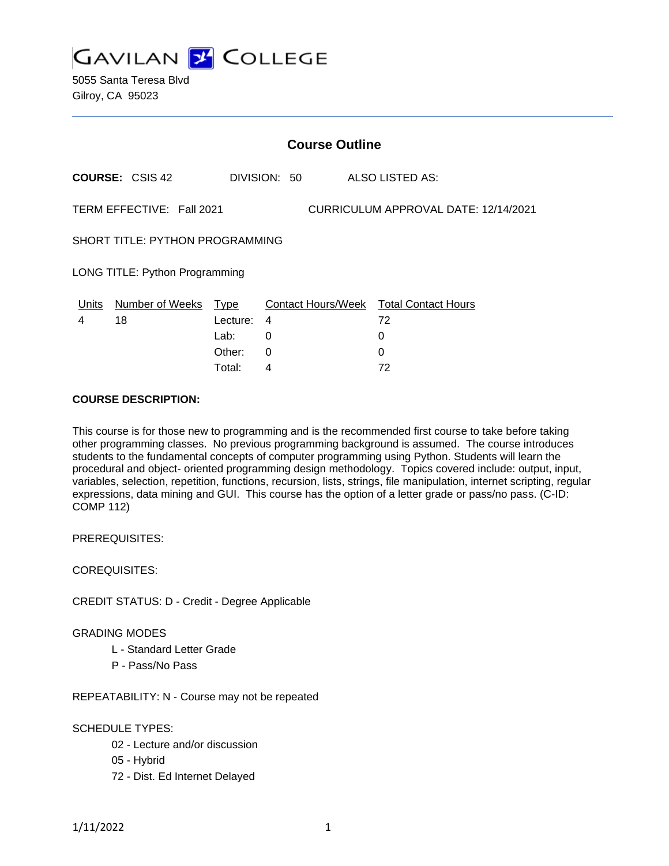

5055 Santa Teresa Blvd Gilroy, CA 95023

| <b>Course Outline</b>                                             |                        |          |              |  |                                        |
|-------------------------------------------------------------------|------------------------|----------|--------------|--|----------------------------------------|
|                                                                   | <b>COURSE: CSIS 42</b> |          | DIVISION: 50 |  | ALSO LISTED AS:                        |
| TERM EFFECTIVE: Fall 2021<br>CURRICULUM APPROVAL DATE: 12/14/2021 |                        |          |              |  |                                        |
| <b>SHORT TITLE: PYTHON PROGRAMMING</b>                            |                        |          |              |  |                                        |
| LONG TITLE: Python Programming                                    |                        |          |              |  |                                        |
| Units                                                             | Number of Weeks        | Type     |              |  | Contact Hours/Week Total Contact Hours |
| 4                                                                 | 18                     | Lecture: | 4            |  | 72                                     |
|                                                                   |                        | Lab:     | 0            |  | 0                                      |
|                                                                   |                        | Other:   | 0            |  | 0                                      |
|                                                                   |                        | Total:   | 4            |  | 72                                     |

### **COURSE DESCRIPTION:**

This course is for those new to programming and is the recommended first course to take before taking other programming classes. No previous programming background is assumed. The course introduces students to the fundamental concepts of computer programming using Python. Students will learn the procedural and object- oriented programming design methodology. Topics covered include: output, input, variables, selection, repetition, functions, recursion, lists, strings, file manipulation, internet scripting, regular expressions, data mining and GUI. This course has the option of a letter grade or pass/no pass. (C-ID: COMP 112)

PREREQUISITES:

COREQUISITES:

CREDIT STATUS: D - Credit - Degree Applicable

GRADING MODES

- L Standard Letter Grade
- P Pass/No Pass

REPEATABILITY: N - Course may not be repeated

### SCHEDULE TYPES:

- 02 Lecture and/or discussion
- 05 Hybrid
- 72 Dist. Ed Internet Delayed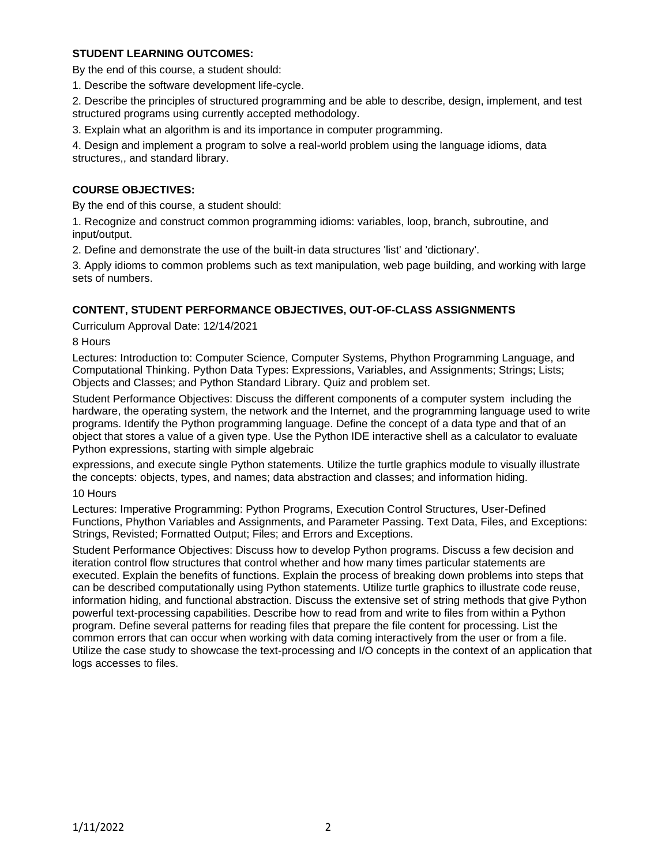# **STUDENT LEARNING OUTCOMES:**

By the end of this course, a student should:

1. Describe the software development life-cycle.

2. Describe the principles of structured programming and be able to describe, design, implement, and test structured programs using currently accepted methodology.

3. Explain what an algorithm is and its importance in computer programming.

4. Design and implement a program to solve a real-world problem using the language idioms, data structures,, and standard library.

### **COURSE OBJECTIVES:**

By the end of this course, a student should:

1. Recognize and construct common programming idioms: variables, loop, branch, subroutine, and input/output.

2. Define and demonstrate the use of the built-in data structures 'list' and 'dictionary'.

3. Apply idioms to common problems such as text manipulation, web page building, and working with large sets of numbers.

### **CONTENT, STUDENT PERFORMANCE OBJECTIVES, OUT-OF-CLASS ASSIGNMENTS**

Curriculum Approval Date: 12/14/2021

8 Hours

Lectures: Introduction to: Computer Science, Computer Systems, Phython Programming Language, and Computational Thinking. Python Data Types: Expressions, Variables, and Assignments; Strings; Lists; Objects and Classes; and Python Standard Library. Quiz and problem set.

Student Performance Objectives: Discuss the different components of a computer system including the hardware, the operating system, the network and the Internet, and the programming language used to write programs. Identify the Python programming language. Define the concept of a data type and that of an object that stores a value of a given type. Use the Python IDE interactive shell as a calculator to evaluate Python expressions, starting with simple algebraic

expressions, and execute single Python statements. Utilize the turtle graphics module to visually illustrate the concepts: objects, types, and names; data abstraction and classes; and information hiding.

10 Hours

Lectures: Imperative Programming: Python Programs, Execution Control Structures, User-Defined Functions, Phython Variables and Assignments, and Parameter Passing. Text Data, Files, and Exceptions: Strings, Revisted; Formatted Output; Files; and Errors and Exceptions.

Student Performance Objectives: Discuss how to develop Python programs. Discuss a few decision and iteration control flow structures that control whether and how many times particular statements are executed. Explain the benefits of functions. Explain the process of breaking down problems into steps that can be described computationally using Python statements. Utilize turtle graphics to illustrate code reuse, information hiding, and functional abstraction. Discuss the extensive set of string methods that give Python powerful text-processing capabilities. Describe how to read from and write to files from within a Python program. Define several patterns for reading files that prepare the file content for processing. List the common errors that can occur when working with data coming interactively from the user or from a file. Utilize the case study to showcase the text-processing and I/O concepts in the context of an application that logs accesses to files.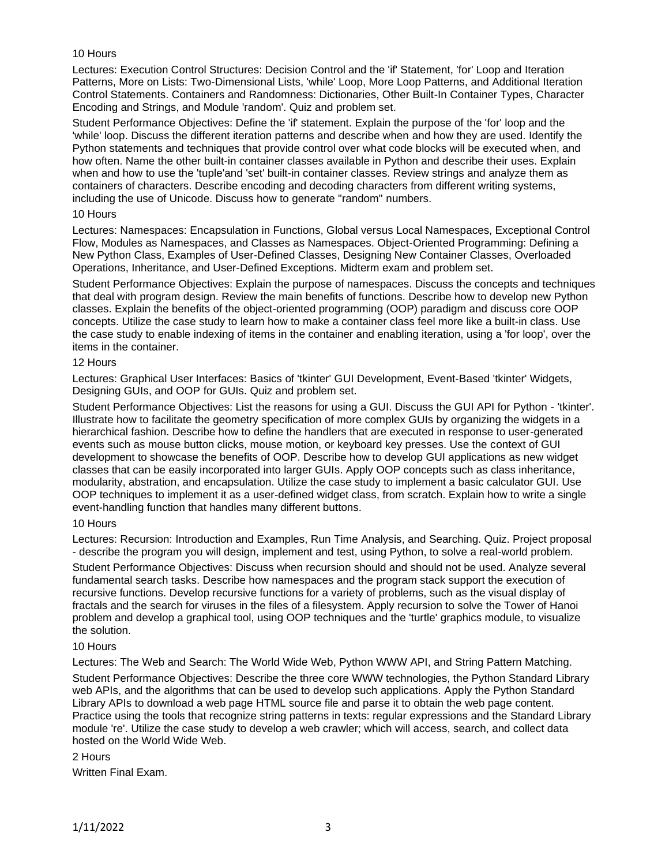### 10 Hours

Lectures: Execution Control Structures: Decision Control and the 'if' Statement, 'for' Loop and Iteration Patterns, More on Lists: Two-Dimensional Lists, 'while' Loop, More Loop Patterns, and Additional Iteration Control Statements. Containers and Randomness: Dictionaries, Other Built-In Container Types, Character Encoding and Strings, and Module 'random'. Quiz and problem set.

Student Performance Objectives: Define the 'if' statement. Explain the purpose of the 'for' loop and the 'while' loop. Discuss the different iteration patterns and describe when and how they are used. Identify the Python statements and techniques that provide control over what code blocks will be executed when, and how often. Name the other built-in container classes available in Python and describe their uses. Explain when and how to use the 'tuple'and 'set' built-in container classes. Review strings and analyze them as containers of characters. Describe encoding and decoding characters from different writing systems, including the use of Unicode. Discuss how to generate "random" numbers.

#### 10 Hours

Lectures: Namespaces: Encapsulation in Functions, Global versus Local Namespaces, Exceptional Control Flow, Modules as Namespaces, and Classes as Namespaces. Object-Oriented Programming: Defining a New Python Class, Examples of User-Defined Classes, Designing New Container Classes, Overloaded Operations, Inheritance, and User-Defined Exceptions. Midterm exam and problem set.

Student Performance Objectives: Explain the purpose of namespaces. Discuss the concepts and techniques that deal with program design. Review the main benefits of functions. Describe how to develop new Python classes. Explain the benefits of the object-oriented programming (OOP) paradigm and discuss core OOP concepts. Utilize the case study to learn how to make a container class feel more like a built-in class. Use the case study to enable indexing of items in the container and enabling iteration, using a 'for loop', over the items in the container.

### 12 Hours

Lectures: Graphical User Interfaces: Basics of 'tkinter' GUI Development, Event-Based 'tkinter' Widgets, Designing GUIs, and OOP for GUIs. Quiz and problem set.

Student Performance Objectives: List the reasons for using a GUI. Discuss the GUI API for Python - 'tkinter'. Illustrate how to facilitate the geometry specification of more complex GUIs by organizing the widgets in a hierarchical fashion. Describe how to define the handlers that are executed in response to user-generated events such as mouse button clicks, mouse motion, or keyboard key presses. Use the context of GUI development to showcase the benefits of OOP. Describe how to develop GUI applications as new widget classes that can be easily incorporated into larger GUIs. Apply OOP concepts such as class inheritance, modularity, abstration, and encapsulation. Utilize the case study to implement a basic calculator GUI. Use OOP techniques to implement it as a user-defined widget class, from scratch. Explain how to write a single event-handling function that handles many different buttons.

## 10 Hours

Lectures: Recursion: Introduction and Examples, Run Time Analysis, and Searching. Quiz. Project proposal - describe the program you will design, implement and test, using Python, to solve a real-world problem.

Student Performance Objectives: Discuss when recursion should and should not be used. Analyze several fundamental search tasks. Describe how namespaces and the program stack support the execution of recursive functions. Develop recursive functions for a variety of problems, such as the visual display of fractals and the search for viruses in the files of a filesystem. Apply recursion to solve the Tower of Hanoi problem and develop a graphical tool, using OOP techniques and the 'turtle' graphics module, to visualize the solution.

#### 10 Hours

Lectures: The Web and Search: The World Wide Web, Python WWW API, and String Pattern Matching. Student Performance Objectives: Describe the three core WWW technologies, the Python Standard Library web APIs, and the algorithms that can be used to develop such applications. Apply the Python Standard Library APIs to download a web page HTML source file and parse it to obtain the web page content. Practice using the tools that recognize string patterns in texts: regular expressions and the Standard Library module 're'. Utilize the case study to develop a web crawler; which will access, search, and collect data hosted on the World Wide Web.

#### 2 Hours

Written Final Exam.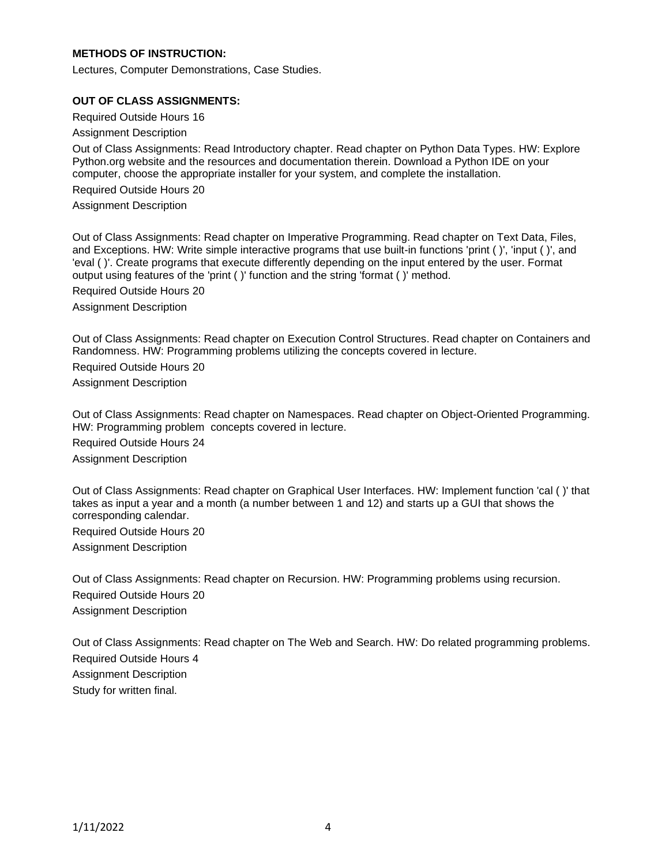## **METHODS OF INSTRUCTION:**

Lectures, Computer Demonstrations, Case Studies.

#### **OUT OF CLASS ASSIGNMENTS:**

Required Outside Hours 16

Assignment Description

Out of Class Assignments: Read Introductory chapter. Read chapter on Python Data Types. HW: Explore Python.org website and the resources and documentation therein. Download a Python IDE on your computer, choose the appropriate installer for your system, and complete the installation.

Required Outside Hours 20

Assignment Description

Out of Class Assignments: Read chapter on Imperative Programming. Read chapter on Text Data, Files, and Exceptions. HW: Write simple interactive programs that use built-in functions 'print ( )', 'input ( )', and 'eval ( )'. Create programs that execute differently depending on the input entered by the user. Format output using features of the 'print ( )' function and the string 'format ( )' method.

Required Outside Hours 20

Assignment Description

Out of Class Assignments: Read chapter on Execution Control Structures. Read chapter on Containers and Randomness. HW: Programming problems utilizing the concepts covered in lecture.

Required Outside Hours 20 Assignment Description

Out of Class Assignments: Read chapter on Namespaces. Read chapter on Object-Oriented Programming. HW: Programming problem concepts covered in lecture. Required Outside Hours 24 Assignment Description

Out of Class Assignments: Read chapter on Graphical User Interfaces. HW: Implement function 'cal ( )' that takes as input a year and a month (a number between 1 and 12) and starts up a GUI that shows the corresponding calendar.

Required Outside Hours 20 Assignment Description

Out of Class Assignments: Read chapter on Recursion. HW: Programming problems using recursion. Required Outside Hours 20 Assignment Description

Out of Class Assignments: Read chapter on The Web and Search. HW: Do related programming problems. Required Outside Hours 4 Assignment Description Study for written final.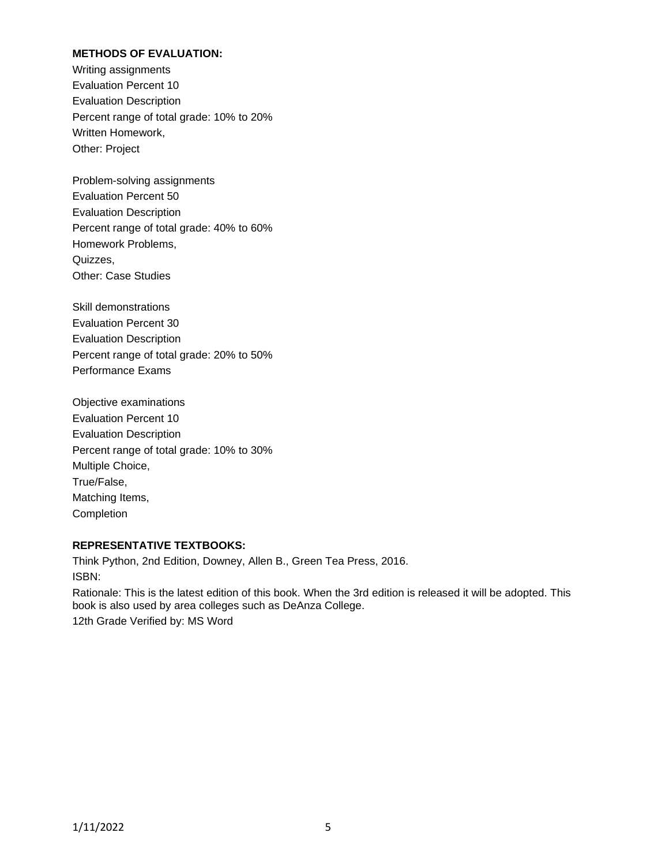# **METHODS OF EVALUATION:**

Writing assignments Evaluation Percent 10 Evaluation Description Percent range of total grade: 10% to 20% Written Homework, Other: Project

Problem-solving assignments Evaluation Percent 50 Evaluation Description Percent range of total grade: 40% to 60% Homework Problems, Quizzes, Other: Case Studies

Skill demonstrations Evaluation Percent 30 Evaluation Description Percent range of total grade: 20% to 50% Performance Exams

Objective examinations Evaluation Percent 10 Evaluation Description Percent range of total grade: 10% to 30% Multiple Choice, True/False, Matching Items, Completion

#### **REPRESENTATIVE TEXTBOOKS:**

Think Python, 2nd Edition, Downey, Allen B., Green Tea Press, 2016. ISBN: Rationale: This is the latest edition of this book. When the 3rd edition is released it will be adopted. This book is also used by area colleges such as DeAnza College.

12th Grade Verified by: MS Word